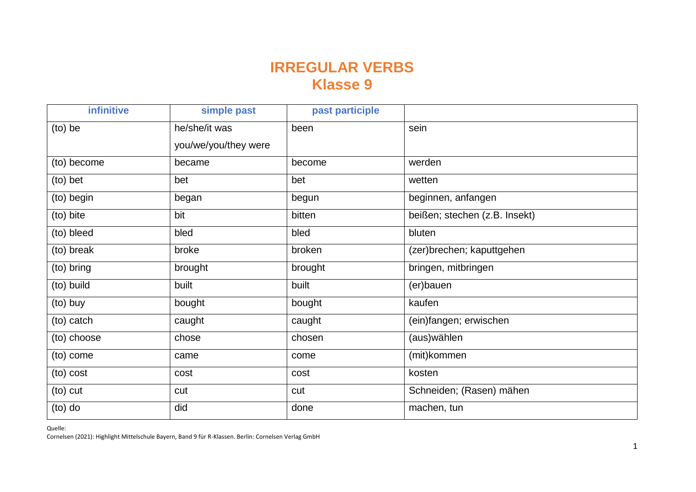## **IRREGULAR VERBS Klasse 9**

| infinitive  | simple past          | past participle |                               |
|-------------|----------------------|-----------------|-------------------------------|
| (to) be     | he/she/it was        | been            | sein                          |
|             | you/we/you/they were |                 |                               |
| (to) become | became               | become          | werden                        |
| (to) bet    | bet                  | bet             | wetten                        |
| (to) begin  | began                | begun           | beginnen, anfangen            |
| (to) bite   | bit                  | bitten          | beißen; stechen (z.B. Insekt) |
| (to) bleed  | bled                 | bled            | bluten                        |
| (to) break  | broke                | broken          | (zer)brechen; kaputtgehen     |
| (to) bring  | brought              | brought         | bringen, mitbringen           |
| (to) build  | built                | built           | (er)bauen                     |
| (to) buy    | bought               | bought          | kaufen                        |
| (to) catch  | caught               | caught          | (ein)fangen; erwischen        |
| (to) choose | chose                | chosen          | (aus)wählen                   |
| (to) come   | came                 | come            | (mit)kommen                   |
| (to) cost   | cost                 | cost            | kosten                        |
| (to) cut    | cut                  | cut             | Schneiden; (Rasen) mähen      |
| $(to)$ do   | did                  | done            | machen, tun                   |

Quelle:

Cornelsen (2021): Highlight Mittelschule Bayern, Band 9 für R-Klassen. Berlin: Cornelsen Verlag GmbH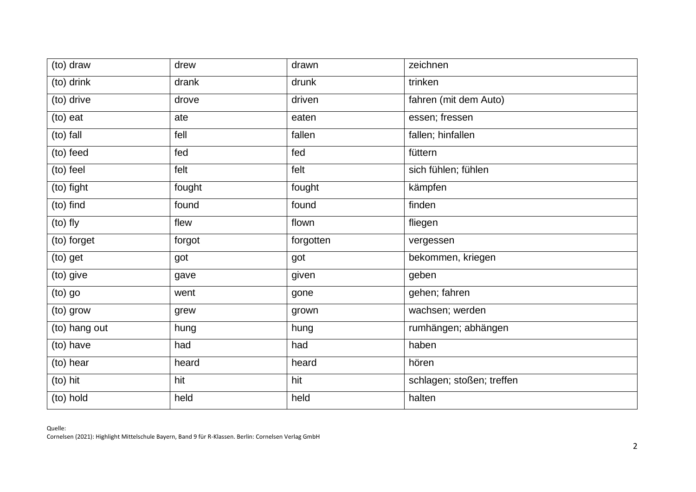| $(to)$ draw   | drew   | drawn     | zeichnen                  |
|---------------|--------|-----------|---------------------------|
| (to) drink    | drank  | drunk     | trinken                   |
| (to) drive    | drove  | driven    | fahren (mit dem Auto)     |
| (to) eat      | ate    | eaten     | essen; fressen            |
| (to) fall     | fell   | fallen    | fallen; hinfallen         |
| (to) feed     | fed    | fed       | füttern                   |
| (to) feel     | felt   | felt      | sich fühlen; fühlen       |
| (to) fight    | fought | fought    | kämpfen                   |
| (to) find     | found  | found     | finden                    |
| (to) fly      | flew   | flown     | fliegen                   |
| (to) forget   | forgot | forgotten | vergessen                 |
| (to) get      | got    | got       | bekommen, kriegen         |
| (to) give     | gave   | given     | geben                     |
| (to) go       | went   | gone      | gehen; fahren             |
| (to) grow     | grew   | grown     | wachsen; werden           |
| (to) hang out | hung   | hung      | rumhängen; abhängen       |
| (to) have     | had    | had       | haben                     |
| (to) hear     | heard  | heard     | hören                     |
| (to) hit      | hit    | hit       | schlagen; stoßen; treffen |
| (to) hold     | held   | held      | halten                    |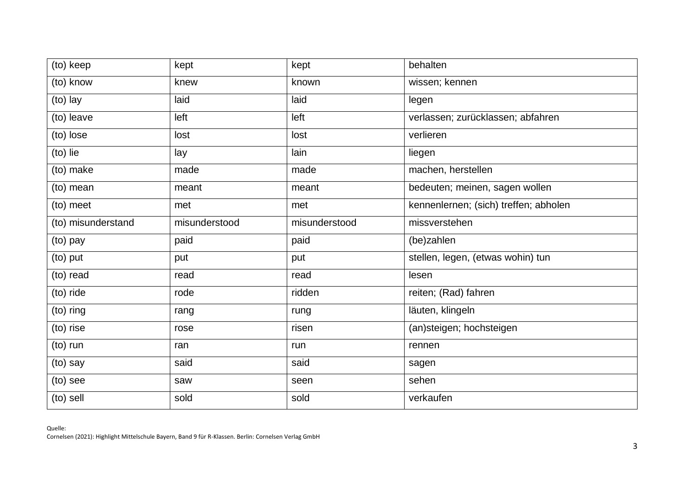| (to) keep          | kept          | kept          | behalten                              |
|--------------------|---------------|---------------|---------------------------------------|
| (to) know          | knew          | known         | wissen; kennen                        |
| (to) lay           | laid          | laid          | legen                                 |
| (to) leave         | left          | left          | verlassen; zurücklassen; abfahren     |
| (to) lose          | lost          | lost          | verlieren                             |
| (to) lie           | lay           | lain          | liegen                                |
| (to) make          | made          | made          | machen, herstellen                    |
| (to) mean          | meant         | meant         | bedeuten; meinen, sagen wollen        |
| (to) meet          | met           | met           | kennenlernen; (sich) treffen; abholen |
| (to) misunderstand | misunderstood | misunderstood | missverstehen                         |
| (to) pay           | paid          | paid          | (be)zahlen                            |
| (to) put           | put           | put           | stellen, legen, (etwas wohin) tun     |
| (to) read          | read          | read          | lesen                                 |
| (to) ride          | rode          | ridden        | reiten; (Rad) fahren                  |
| (to) ring          | rang          | rung          | läuten, klingeln                      |
| (to) rise          | rose          | risen         | (an)steigen; hochsteigen              |
| (to) run           | ran           | run           | rennen                                |
| (to) say           | said          | said          | sagen                                 |
| (to) see           | saw           | seen          | sehen                                 |
| (to) sell          | sold          | sold          | verkaufen                             |
|                    |               |               |                                       |